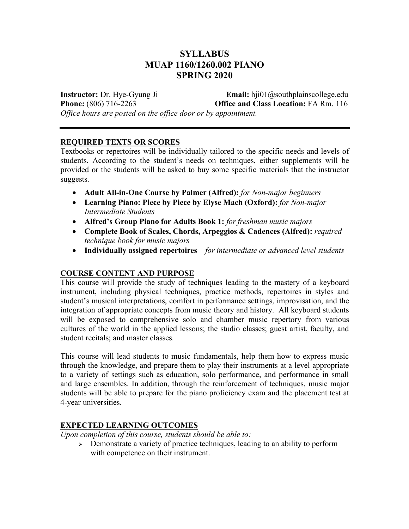# **SYLLABUS MUAP 1160/1260.002 PIANO SPRING 2020**

**Instructor:** Dr. Hye-Gyung Ji **Email:** hji01@southplainscollege.edu **Phone:** (806) 716-2263 **Office and Class Location:** FA Rm. 116 *Office hours are posted on the office door or by appointment.* 

#### **REQUIRED TEXTS OR SCORES**

Textbooks or repertoires will be individually tailored to the specific needs and levels of students. According to the student's needs on techniques, either supplements will be provided or the students will be asked to buy some specific materials that the instructor suggests.

- **Adult All-in-One Course by Palmer (Alfred):** *for Non-major beginners*
- **Learning Piano: Piece by Piece by Elyse Mach (Oxford):** *for Non-major Intermediate Students*
- **Alfred's Group Piano for Adults Book 1:** *for freshman music majors*
- **Complete Book of Scales, Chords, Arpeggios & Cadences (Alfred):** *required technique book for music majors*
- **Individually assigned repertoires**  *for intermediate or advanced level students*

#### **COURSE CONTENT AND PURPOSE**

This course will provide the study of techniques leading to the mastery of a keyboard instrument, including physical techniques, practice methods, repertoires in styles and student's musical interpretations, comfort in performance settings, improvisation, and the integration of appropriate concepts from music theory and history. All keyboard students will be exposed to comprehensive solo and chamber music repertory from various cultures of the world in the applied lessons; the studio classes; guest artist, faculty, and student recitals; and master classes.

This course will lead students to music fundamentals, help them how to express music through the knowledge, and prepare them to play their instruments at a level appropriate to a variety of settings such as education, solo performance, and performance in small and large ensembles. In addition, through the reinforcement of techniques, music major students will be able to prepare for the piano proficiency exam and the placement test at 4-year universities.

#### **EXPECTED LEARNING OUTCOMES**

*Upon completion of this course, students should be able to:* 

 $\triangleright$  Demonstrate a variety of practice techniques, leading to an ability to perform with competence on their instrument.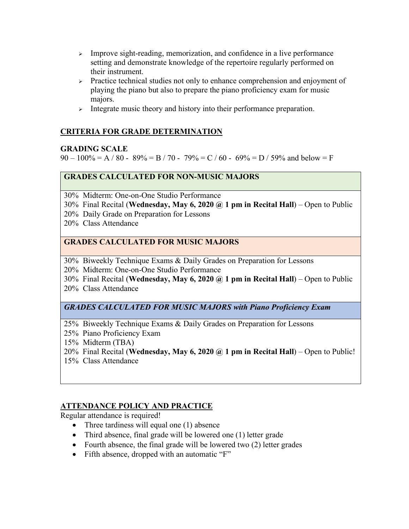- $\geq$  Improve sight-reading, memorization, and confidence in a live performance setting and demonstrate knowledge of the repertoire regularly performed on their instrument.
- $\triangleright$  Practice technical studies not only to enhance comprehension and enjoyment of playing the piano but also to prepare the piano proficiency exam for music majors.
- $\triangleright$  Integrate music theory and history into their performance preparation.

# **CRITERIA FOR GRADE DETERMINATION**

## **GRADING SCALE**

 $90 - 100\% = A / 80 - 89\% = B / 70 - 79\% = C / 60 - 69\% = D / 59\%$  and below = F

# **GRADES CALCULATED FOR NON-MUSIC MAJORS**

30% Midterm: One-on-One Studio Performance

30% Final Recital (**Wednesday, May 6, 2020 @ 1 pm in Recital Hall**) – Open to Public

20% Daily Grade on Preparation for Lessons

20% Class Attendance

## **GRADES CALCULATED FOR MUSIC MAJORS**

30% Biweekly Technique Exams & Daily Grades on Preparation for Lessons

20% Midterm: One-on-One Studio Performance

30% Final Recital (**Wednesday, May 6, 2020 @ 1 pm in Recital Hall**) – Open to Public

20% Class Attendance

*GRADES CALCULATED FOR MUSIC MAJORS with Piano Proficiency Exam* 

25% Biweekly Technique Exams & Daily Grades on Preparation for Lessons

25% Piano Proficiency Exam

15% Midterm (TBA)

- 20% Final Recital (**Wednesday, May 6, 2020 @ 1 pm in Recital Hall**) Open to Public!
- 15% Class Attendance

# **ATTENDANCE POLICY AND PRACTICE**

Regular attendance is required!

- Three tardiness will equal one (1) absence
- Third absence, final grade will be lowered one (1) letter grade
- Fourth absence, the final grade will be lowered two (2) letter grades
- Fifth absence, dropped with an automatic "F"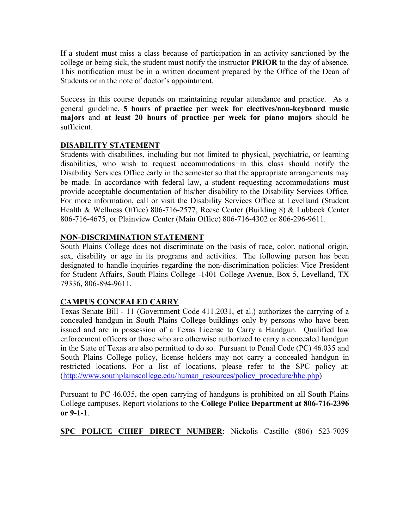If a student must miss a class because of participation in an activity sanctioned by the college or being sick, the student must notify the instructor **PRIOR** to the day of absence. This notification must be in a written document prepared by the Office of the Dean of Students or in the note of doctor's appointment.

Success in this course depends on maintaining regular attendance and practice. As a general guideline, **5 hours of practice per week for electives/non-keyboard music majors** and **at least 20 hours of practice per week for piano majors** should be sufficient.

## **DISABILITY STATEMENT**

Students with disabilities, including but not limited to physical, psychiatric, or learning disabilities, who wish to request accommodations in this class should notify the Disability Services Office early in the semester so that the appropriate arrangements may be made. In accordance with federal law, a student requesting accommodations must provide acceptable documentation of his/her disability to the Disability Services Office. For more information, call or visit the Disability Services Office at Levelland (Student Health & Wellness Office) 806-716-2577, Reese Center (Building 8) & Lubbock Center 806-716-4675, or Plainview Center (Main Office) 806-716-4302 or 806-296-9611.

## **NON-DISCRIMINATION STATEMENT**

South Plains College does not discriminate on the basis of race, color, national origin, sex, disability or age in its programs and activities. The following person has been designated to handle inquiries regarding the non-discrimination policies: Vice President for Student Affairs, South Plains College -1401 College Avenue, Box 5, Levelland, TX 79336, 806-894-9611.

#### **CAMPUS CONCEALED CARRY**

Texas Senate Bill - 11 (Government Code 411.2031, et al.) authorizes the carrying of a concealed handgun in South Plains College buildings only by persons who have been issued and are in possession of a Texas License to Carry a Handgun. Qualified law enforcement officers or those who are otherwise authorized to carry a concealed handgun in the State of Texas are also permitted to do so. Pursuant to Penal Code (PC) 46.035 and South Plains College policy, license holders may not carry a concealed handgun in restricted locations. For a list of locations, please refer to the SPC policy at: (http://www.southplainscollege.edu/human\_resources/policy\_procedure/hhc.php)

Pursuant to PC 46.035, the open carrying of handguns is prohibited on all South Plains College campuses. Report violations to the **College Police Department at 806-716-2396 or 9-1-1**.

**SPC POLICE CHIEF DIRECT NUMBER**: Nickolis Castillo (806) 523-7039